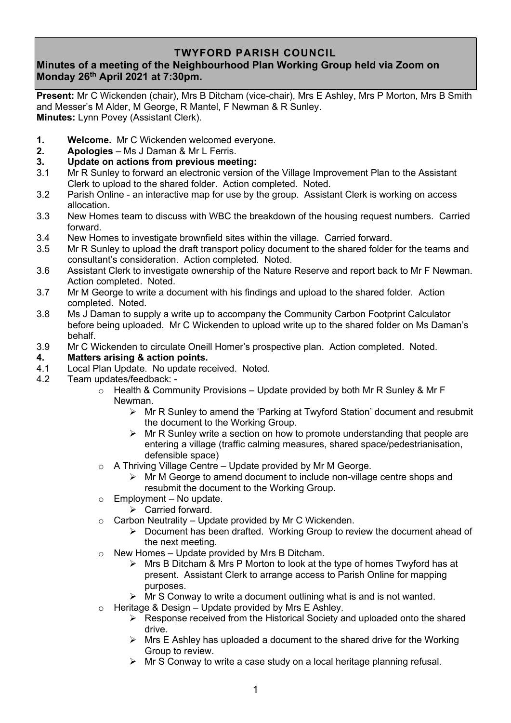## **TWYFORD PARISH COUNCIL**

## **Minutes of a meeting of the Neighbourhood Plan Working Group held via Zoom on Monday 26th April 2021 at 7:30pm.**

**Present:** Mr C Wickenden (chair), Mrs B Ditcham (vice-chair), Mrs E Ashley, Mrs P Morton, Mrs B Smith and Messer's M Alder, M George, R Mantel, F Newman & R Sunley. **Minutes:** Lynn Povey (Assistant Clerk).

- **1. Welcome.** Mr C Wickenden welcomed everyone.
- **2. Apologies** Ms J Daman & Mr L Ferris.
- **3. Update on actions from previous meeting:**
- 3.1 Mr R Sunley to forward an electronic version of the Village Improvement Plan to the Assistant Clerk to upload to the shared folder. Action completed. Noted.
- 3.2 Parish Online an interactive map for use by the group. Assistant Clerk is working on access allocation.
- 3.3 New Homes team to discuss with WBC the breakdown of the housing request numbers. Carried forward.
- 3.4 New Homes to investigate brownfield sites within the village. Carried forward.
- 3.5 Mr R Sunley to upload the draft transport policy document to the shared folder for the teams and consultant's consideration. Action completed. Noted.
- 3.6 Assistant Clerk to investigate ownership of the Nature Reserve and report back to Mr F Newman. Action completed. Noted.
- 3.7 Mr M George to write a document with his findings and upload to the shared folder. Action completed. Noted.
- 3.8 Ms J Daman to supply a write up to accompany the Community Carbon Footprint Calculator before being uploaded. Mr C Wickenden to upload write up to the shared folder on Ms Daman's behalf.
- 3.9 Mr C Wickenden to circulate Oneill Homer's prospective plan. Action completed. Noted.
- **4. Matters arising & action points.**
- 4.1 Local Plan Update. No update received. Noted.
- 4.2 Team updates/feedback:
	- $\circ$  Health & Community Provisions Update provided by both Mr R Sunley & Mr F Newman.
		- ➢ Mr R Sunley to amend the 'Parking at Twyford Station' document and resubmit the document to the Working Group.
		- $\triangleright$  Mr R Sunley write a section on how to promote understanding that people are entering a village (traffic calming measures, shared space/pedestrianisation, defensible space)
	- $\circ$  A Thriving Village Centre Update provided by Mr M George.
		- $\triangleright$  Mr M George to amend document to include non-village centre shops and resubmit the document to the Working Group.
	- $\circ$  Employment No update.
		- ➢ Carried forward.
	- $\circ$  Carbon Neutrality Update provided by Mr C Wickenden.
		- $\triangleright$  Document has been drafted. Working Group to review the document ahead of the next meeting.
	- o New Homes Update provided by Mrs B Ditcham.
		- $\triangleright$  Mrs B Ditcham & Mrs P Morton to look at the type of homes Twyford has at present. Assistant Clerk to arrange access to Parish Online for mapping purposes.
		- $\triangleright$  Mr S Conway to write a document outlining what is and is not wanted.
	- $\circ$  Heritage & Design Update provided by Mrs E Ashley.
		- ➢ Response received from the Historical Society and uploaded onto the shared drive.
		- $\triangleright$  Mrs E Ashley has uploaded a document to the shared drive for the Working Group to review.
		- ➢ Mr S Conway to write a case study on a local heritage planning refusal.